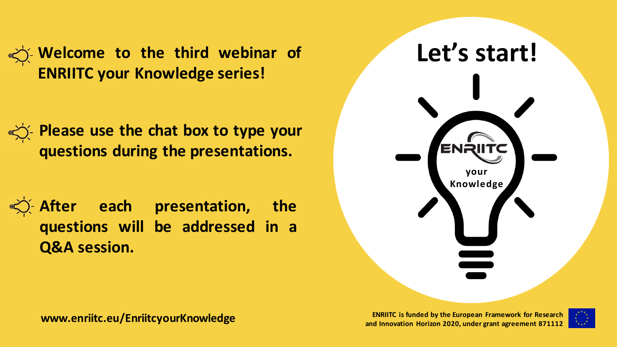**Welcome to the third webinar of Let's start! ENRIITC your Knowledge series!**

**Please use the chat box to type your questions during the presentations.**

**After each presentation, the questions will be addressed in a Q&A session.**



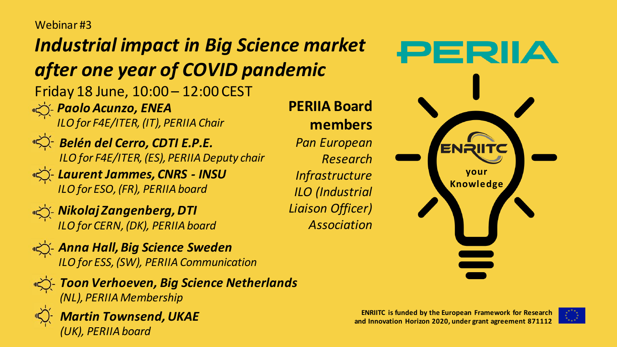#### Webinar #3

## *Industrial impact in Big Science market after one year of COVID pandemic*

Friday 18 June, 10:00 – 12:00 CEST *Paolo Acunzo, ENEA*

*ILO for F4E/ITER, (IT), PERIIA Chair*



*Belén del Cerro, CDTI E.P.E. ILO for F4E/ITER, (ES), PERIIA Deputy chair*

*Laurent Jammes, CNRS - INSU ILO for ESO, (FR), PERIIA board*



*Nikolaj Zangenberg, DTI ILO for CERN, (DK), PERIIA board*

*Anna Hall, Big Science Sweden ILO for ESS, (SW), PERIIA Communication*



*Toon Verhoeven, Big Science Netherlands (NL), PERIIA Membership*



*Martin Townsend, UKAE (UK), PERIIA board*

**your Knowledge**

ENf

PERIA



**PERIIA Board members** *Pan European Research Infrastructure ILO (Industrial Liaison Officer) Association*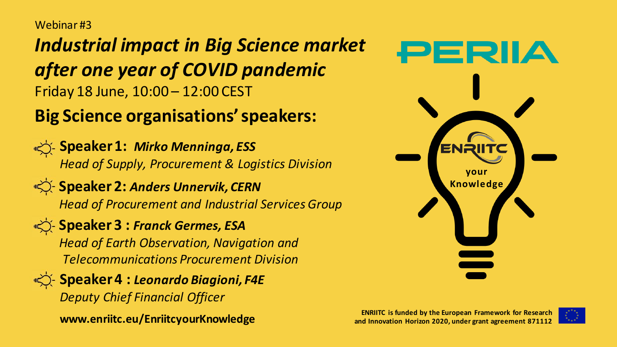Webinar #3

*Industrial impact in Big Science market after one year of COVID pandemic* Friday 18 June, 10:00 – 12:00 CEST

### **Big Science organisations'speakers:**

**Speaker 1: Mirko Menninga, ESS** *Head of Supply, Procurement & Logistics Division*

**Speaker 2: Anders Unnervik, CERN** *Head of Procurement and Industrial Services Group*

**Speaker 3 : Franck Germes, ESA** *Head of Earth Observation, Navigation and Telecommunications Procurement Division*

**Speaker 4 : Leonardo Biagioni, F4E** *Deputy Chief Financial Officer*

**www.enriitc.eu/EnriitcyourKnowledge**



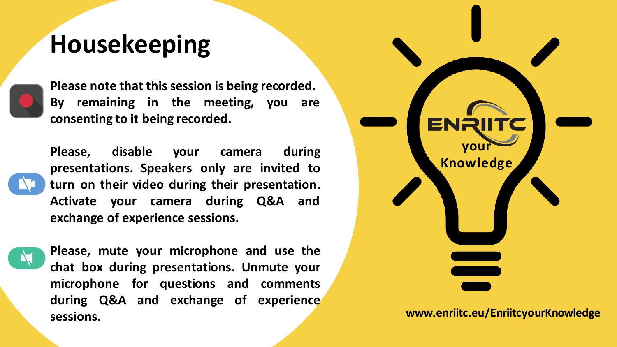## **Housekeeping**



**Please note that this session is being recorded. By remaining in the meeting, you are consenting to it being recorded.**

**Please, disable your camera during presentations. Speakers only are invited to turn on their video during their presentation. Activate your camera during Q&A and exchange of experience sessions.**

**Please, mute your microphone and use the chat box during presentations. Unmute your microphone for questions and comments during Q&A and exchange of experience sessions. www.enriitc.eu/EnriitcyourKnowledge**

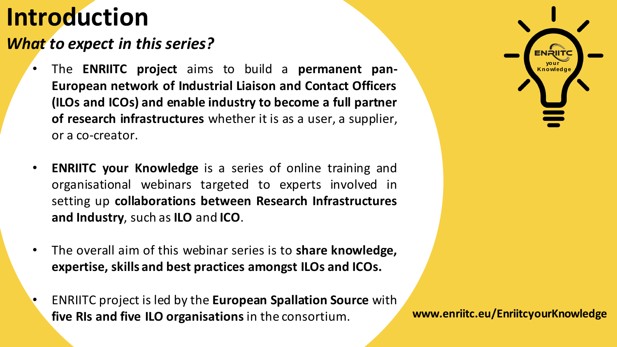# **Introduction**

#### *What to expect in this series?*

- The **ENRIITC** project aims to build a permanent pan-**European network of Industrial Liaison and Contact Officers (ILOs and ICOs) and enable industry to become a full partner of research infrastructures** whether it is as a user, a supplier, or a co-creator.
- **ENRIITC your Knowledge** is a series of online training and organisational webinars targeted to experts involved in setting up **collaborations between Research Infrastructures and Industry**, such as **ILO** and **ICO**.
- The overall aim of this webinar series is to **share knowledge, expertise, skills and best practices amongst ILOs and ICOs.**
- ENRIITC project is led by the **European Spallation Source** with **five RIs and five ILO organisations**in the consortium. **www.enriitc.eu/EnriitcyourKnowledge**

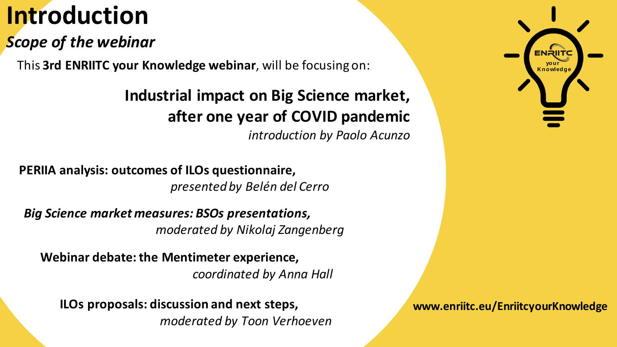# **Introduction**

### *Scope of the webinar*

**This 3rd ENRIITC your Knowledge webinar, will be focusing on:** 

#### y and the international RIs; **Industrial impact on Big Science market, after one year of COVID pandemic**

**O** (**Industry Contact Officers**), research infrastructures staff *introduction by Paolo Acunzo*

**PERIIA analysis: outcomes of ILOs questionnaire, presented by Belén del Cerro** way for future synergies and collaborations between these

Big Science market measures: BSOs presentations, views on their role and key performance indicators. *moderated by Nikolaj Zangenberg*

**Webinar debate: the Mentimeter experience,**  *coordinated by Anna Hall*

**ILOs proposals: discussion and next steps,** *moderated by Toon Verhoeven*



**www.enriitc.eu/EnriitcyourKnowledge**